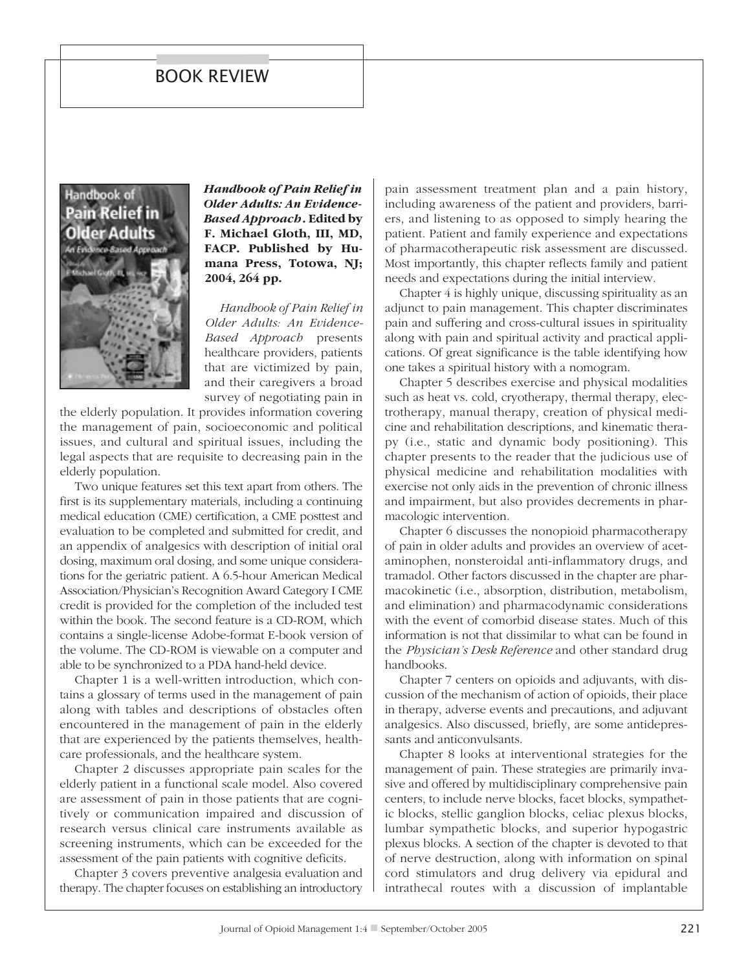## book review



*Handbook of Pain Relief in Older Adults: An Evidence-Based Approach***. Edited by F. Michael Gloth, III, MD, FACP. Published by Humana Press, Totowa, NJ; 2004, 264 pp.**

*Handbook of Pain Relief in Older Adults: An Evidence-Based Approach* presents healthcare providers, patients that are victimized by pain, and their caregivers a broad survey of negotiating pain in

the elderly population. It provides information covering the management of pain, socioeconomic and political issues, and cultural and spiritual issues, including the legal aspects that are requisite to decreasing pain in the elderly population.

Two unique features set this text apart from others. The first is its supplementary materials, including a continuing medical education (CME) certification, a CME posttest and evaluation to be completed and submitted for credit, and an appendix of analgesics with description of initial oral dosing, maximum oral dosing, and some unique considerations for the geriatric patient. A 6.5-hour American Medical Association/Physician's Recognition Award Category I CME credit is provided for the completion of the included test within the book. The second feature is a CD-ROM, which contains a single-license Adobe-format E-book version of the volume. The CD-ROM is viewable on a computer and able to be synchronized to a PDA hand-held device.

Chapter 1 is a well-written introduction, which contains a glossary of terms used in the management of pain along with tables and descriptions of obstacles often encountered in the management of pain in the elderly that are experienced by the patients themselves, healthcare professionals, and the healthcare system.

Chapter 2 discusses appropriate pain scales for the elderly patient in a functional scale model. Also covered are assessment of pain in those patients that are cognitively or communication impaired and discussion of research versus clinical care instruments available as screening instruments, which can be exceeded for the assessment of the pain patients with cognitive deficits.

Chapter 3 covers preventive analgesia evaluation and therapy. The chapter focuses on establishing an introductory pain assessment treatment plan and a pain history, including awareness of the patient and providers, barriers, and listening to as opposed to simply hearing the patient. Patient and family experience and expectations of pharmacotherapeutic risk assessment are discussed. Most importantly, this chapter reflects family and patient needs and expectations during the initial interview.

Chapter 4 is highly unique, discussing spirituality as an adjunct to pain management. This chapter discriminates pain and suffering and cross-cultural issues in spirituality along with pain and spiritual activity and practical applications. Of great significance is the table identifying how one takes a spiritual history with a nomogram.

Chapter 5 describes exercise and physical modalities such as heat vs. cold, cryotherapy, thermal therapy, electrotherapy, manual therapy, creation of physical medicine and rehabilitation descriptions, and kinematic therapy (i.e., static and dynamic body positioning). This chapter presents to the reader that the judicious use of physical medicine and rehabilitation modalities with exercise not only aids in the prevention of chronic illness and impairment, but also provides decrements in pharmacologic intervention.

Chapter 6 discusses the nonopioid pharmacotherapy of pain in older adults and provides an overview of acetaminophen, nonsteroidal anti-inflammatory drugs, and tramadol. Other factors discussed in the chapter are pharmacokinetic (i.e., absorption, distribution, metabolism, and elimination) and pharmacodynamic considerations with the event of comorbid disease states. Much of this information is not that dissimilar to what can be found in the *Physician's Desk Reference* and other standard drug handbooks.

Chapter 7 centers on opioids and adjuvants, with discussion of the mechanism of action of opioids, their place in therapy, adverse events and precautions, and adjuvant analgesics. Also discussed, briefly, are some antidepressants and anticonvulsants.

Chapter 8 looks at interventional strategies for the management of pain. These strategies are primarily invasive and offered by multidisciplinary comprehensive pain centers, to include nerve blocks, facet blocks, sympathetic blocks, stellic ganglion blocks, celiac plexus blocks, lumbar sympathetic blocks, and superior hypogastric plexus blocks. A section of the chapter is devoted to that of nerve destruction, along with information on spinal cord stimulators and drug delivery via epidural and intrathecal routes with a discussion of implantable